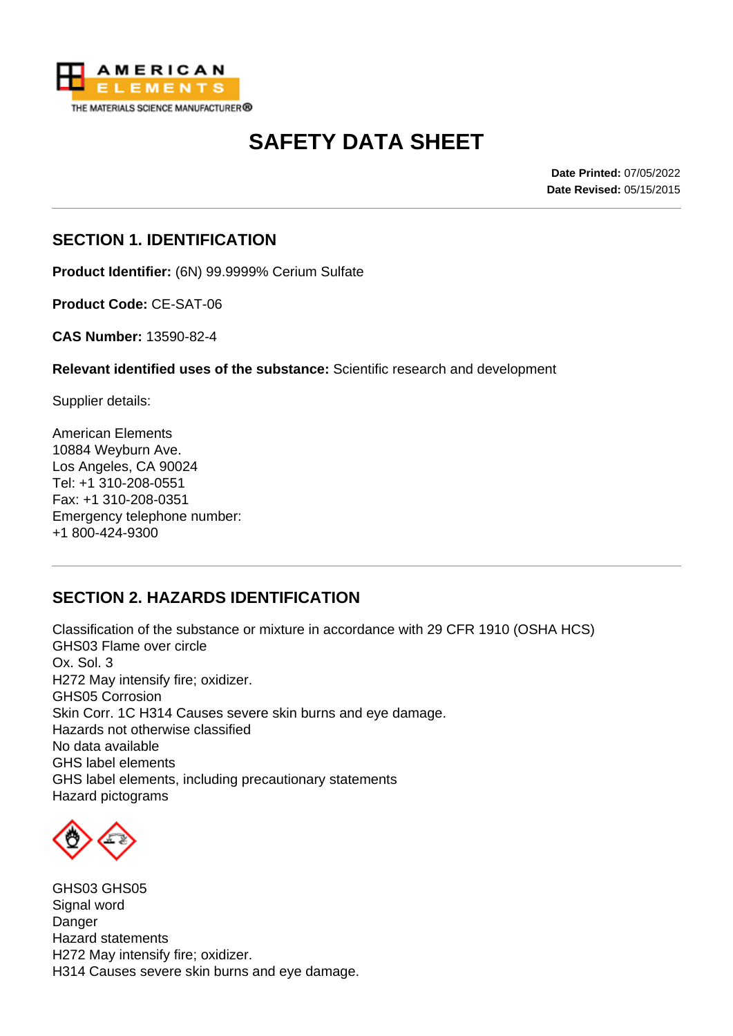

# **SAFETY DATA SHEET**

**Date Printed:** 07/05/2022 **Date Revised:** 05/15/2015

#### **SECTION 1. IDENTIFICATION**

**Product Identifier:** (6N) 99.9999% Cerium Sulfate

**Product Code:** CE-SAT-06

**CAS Number:** 13590-82-4

**Relevant identified uses of the substance:** Scientific research and development

Supplier details:

American Elements 10884 Weyburn Ave. Los Angeles, CA 90024 Tel: +1 310-208-0551 Fax: +1 310-208-0351 Emergency telephone number: +1 800-424-9300

# **SECTION 2. HAZARDS IDENTIFICATION**

Classification of the substance or mixture in accordance with 29 CFR 1910 (OSHA HCS) GHS03 Flame over circle Ox. Sol. 3 H272 May intensify fire; oxidizer. GHS05 Corrosion Skin Corr. 1C H314 Causes severe skin burns and eye damage. Hazards not otherwise classified No data available GHS label elements GHS label elements, including precautionary statements Hazard pictograms



GHS03 GHS05 Signal word **Danger** Hazard statements H272 May intensify fire; oxidizer. H314 Causes severe skin burns and eye damage.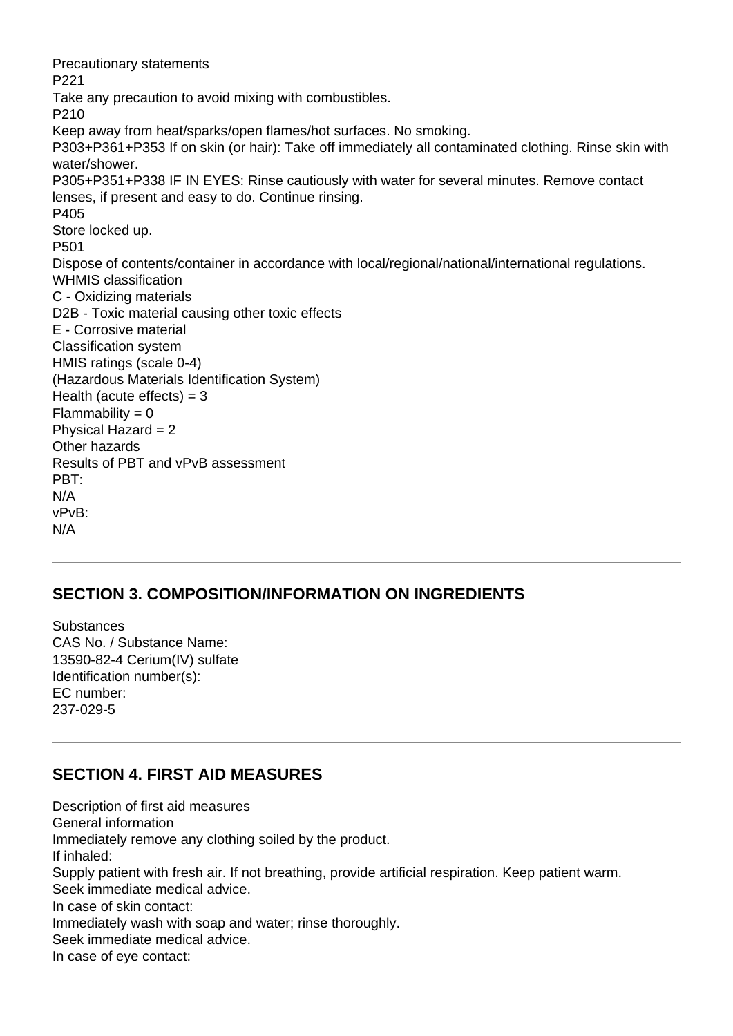Precautionary statements P221 Take any precaution to avoid mixing with combustibles. P210 Keep away from heat/sparks/open flames/hot surfaces. No smoking. P303+P361+P353 If on skin (or hair): Take off immediately all contaminated clothing. Rinse skin with water/shower. P305+P351+P338 IF IN EYES: Rinse cautiously with water for several minutes. Remove contact lenses, if present and easy to do. Continue rinsing. P405 Store locked up. P501 Dispose of contents/container in accordance with local/regional/national/international regulations. WHMIS classification C - Oxidizing materials D2B - Toxic material causing other toxic effects E - Corrosive material Classification system HMIS ratings (scale 0-4) (Hazardous Materials Identification System) Health (acute effects)  $=$  3  $Flammability = 0$ Physical Hazard = 2 Other hazards Results of PBT and vPvB assessment PBT: N/A vPvB: N/A

#### **SECTION 3. COMPOSITION/INFORMATION ON INGREDIENTS**

**Substances** CAS No. / Substance Name: 13590-82-4 Cerium(IV) sulfate Identification number(s): EC number: 237-029-5

#### **SECTION 4. FIRST AID MEASURES**

Description of first aid measures General information Immediately remove any clothing soiled by the product. If inhaled: Supply patient with fresh air. If not breathing, provide artificial respiration. Keep patient warm. Seek immediate medical advice. In case of skin contact: Immediately wash with soap and water; rinse thoroughly. Seek immediate medical advice. In case of eye contact: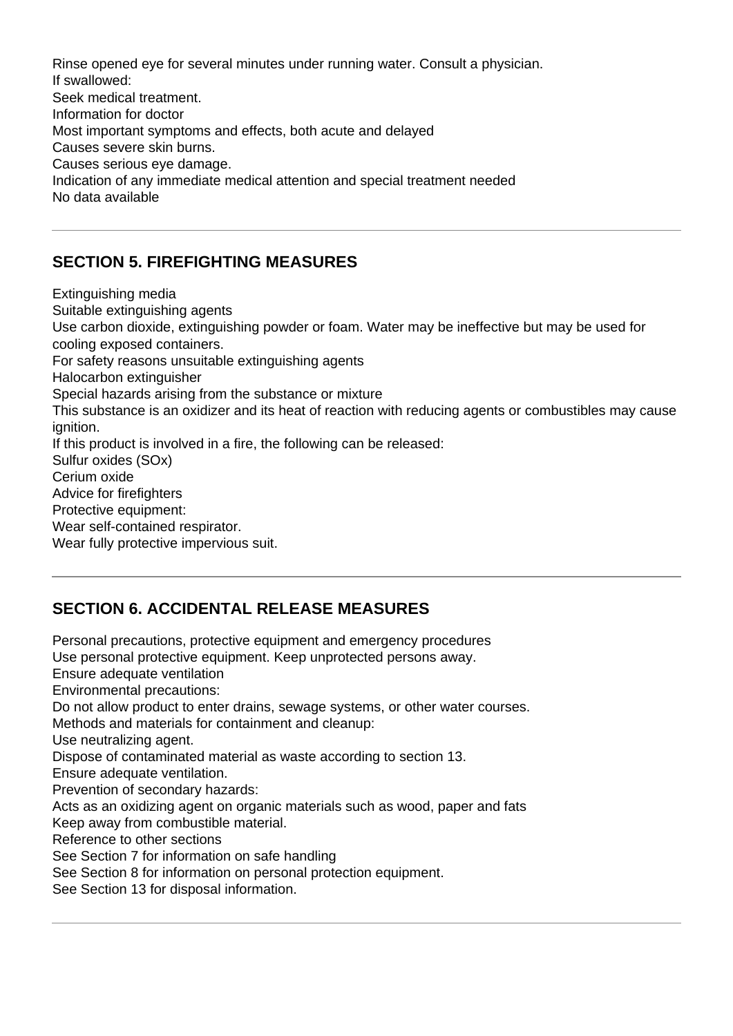Rinse opened eye for several minutes under running water. Consult a physician. If swallowed: Seek medical treatment. Information for doctor Most important symptoms and effects, both acute and delayed Causes severe skin burns. Causes serious eye damage. Indication of any immediate medical attention and special treatment needed No data available

### **SECTION 5. FIREFIGHTING MEASURES**

Extinguishing media Suitable extinguishing agents Use carbon dioxide, extinguishing powder or foam. Water may be ineffective but may be used for cooling exposed containers. For safety reasons unsuitable extinguishing agents Halocarbon extinguisher Special hazards arising from the substance or mixture This substance is an oxidizer and its heat of reaction with reducing agents or combustibles may cause ignition. If this product is involved in a fire, the following can be released: Sulfur oxides (SOx) Cerium oxide Advice for firefighters Protective equipment: Wear self-contained respirator. Wear fully protective impervious suit.

# **SECTION 6. ACCIDENTAL RELEASE MEASURES**

Personal precautions, protective equipment and emergency procedures Use personal protective equipment. Keep unprotected persons away. Ensure adequate ventilation Environmental precautions: Do not allow product to enter drains, sewage systems, or other water courses. Methods and materials for containment and cleanup: Use neutralizing agent. Dispose of contaminated material as waste according to section 13. Ensure adequate ventilation. Prevention of secondary hazards: Acts as an oxidizing agent on organic materials such as wood, paper and fats Keep away from combustible material. Reference to other sections See Section 7 for information on safe handling See Section 8 for information on personal protection equipment. See Section 13 for disposal information.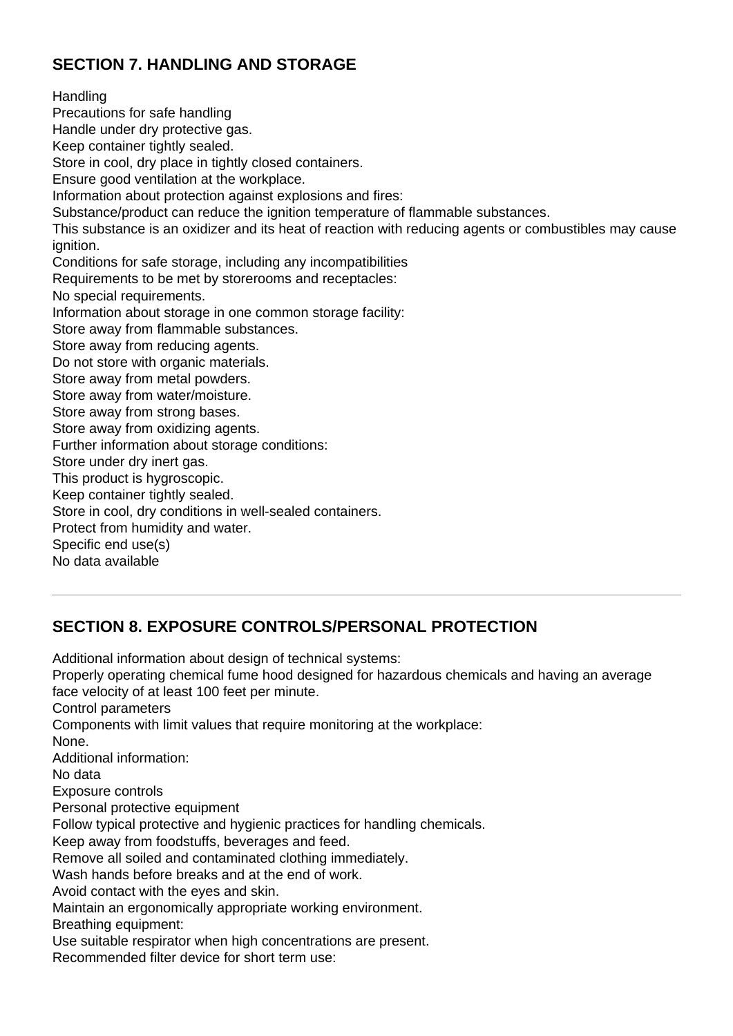# **SECTION 7. HANDLING AND STORAGE**

Handling Precautions for safe handling Handle under dry protective gas. Keep container tightly sealed. Store in cool, dry place in tightly closed containers. Ensure good ventilation at the workplace. Information about protection against explosions and fires: Substance/product can reduce the ignition temperature of flammable substances. This substance is an oxidizer and its heat of reaction with reducing agents or combustibles may cause ignition. Conditions for safe storage, including any incompatibilities Requirements to be met by storerooms and receptacles: No special requirements. Information about storage in one common storage facility: Store away from flammable substances. Store away from reducing agents. Do not store with organic materials. Store away from metal powders. Store away from water/moisture. Store away from strong bases. Store away from oxidizing agents. Further information about storage conditions: Store under dry inert gas. This product is hygroscopic. Keep container tightly sealed. Store in cool, dry conditions in well-sealed containers. Protect from humidity and water. Specific end use(s) No data available

# **SECTION 8. EXPOSURE CONTROLS/PERSONAL PROTECTION**

Additional information about design of technical systems:

Properly operating chemical fume hood designed for hazardous chemicals and having an average face velocity of at least 100 feet per minute.

Control parameters

Components with limit values that require monitoring at the workplace:

None.

Additional information:

No data

Exposure controls

Personal protective equipment

Follow typical protective and hygienic practices for handling chemicals.

Keep away from foodstuffs, beverages and feed.

Remove all soiled and contaminated clothing immediately.

Wash hands before breaks and at the end of work.

Avoid contact with the eyes and skin.

Maintain an ergonomically appropriate working environment.

Breathing equipment:

Use suitable respirator when high concentrations are present.

Recommended filter device for short term use: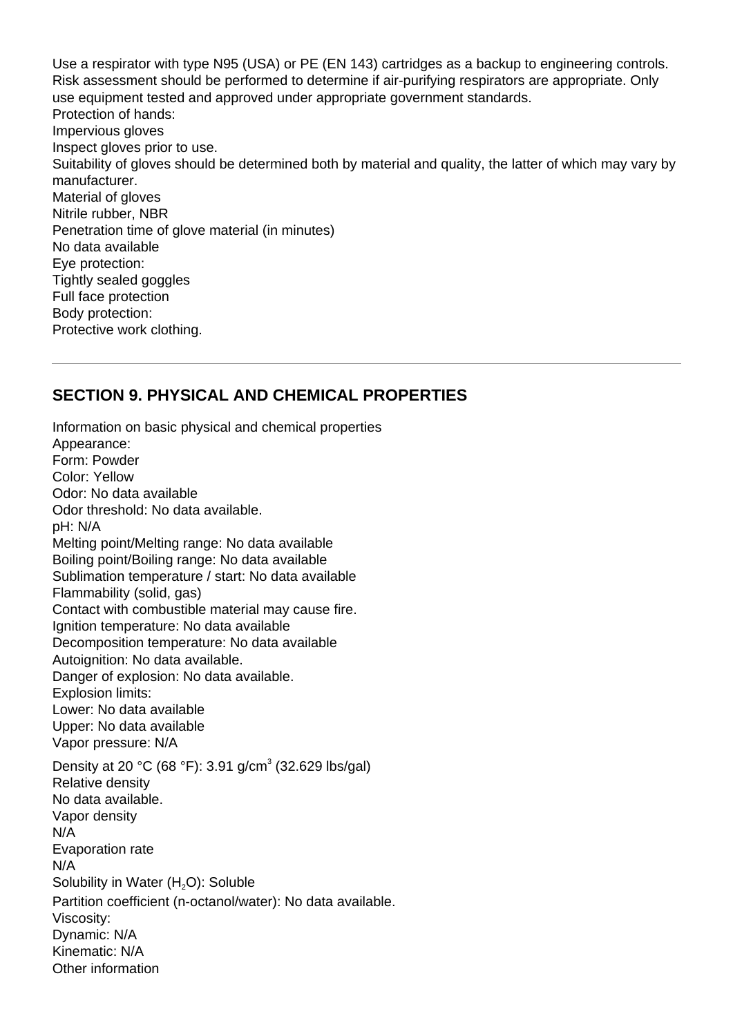Use a respirator with type N95 (USA) or PE (EN 143) cartridges as a backup to engineering controls. Risk assessment should be performed to determine if air-purifying respirators are appropriate. Only use equipment tested and approved under appropriate government standards. Protection of hands: Impervious gloves Inspect gloves prior to use. Suitability of gloves should be determined both by material and quality, the latter of which may vary by manufacturer. Material of gloves Nitrile rubber, NBR Penetration time of glove material (in minutes) No data available Eye protection: Tightly sealed goggles Full face protection Body protection: Protective work clothing.

#### **SECTION 9. PHYSICAL AND CHEMICAL PROPERTIES**

Information on basic physical and chemical properties Appearance: Form: Powder Color: Yellow Odor: No data available Odor threshold: No data available. pH: N/A Melting point/Melting range: No data available Boiling point/Boiling range: No data available Sublimation temperature / start: No data available Flammability (solid, gas) Contact with combustible material may cause fire. Ignition temperature: No data available Decomposition temperature: No data available Autoignition: No data available. Danger of explosion: No data available. Explosion limits: Lower: No data available Upper: No data available Vapor pressure: N/A Density at 20 °C (68 °F): 3.91 g/cm<sup>3</sup> (32.629 lbs/gal) Relative density No data available. Vapor density N/A Evaporation rate N/A Solubility in Water (H<sub>2</sub>O): Soluble Partition coefficient (n-octanol/water): No data available. Viscosity: Dynamic: N/A Kinematic: N/A Other information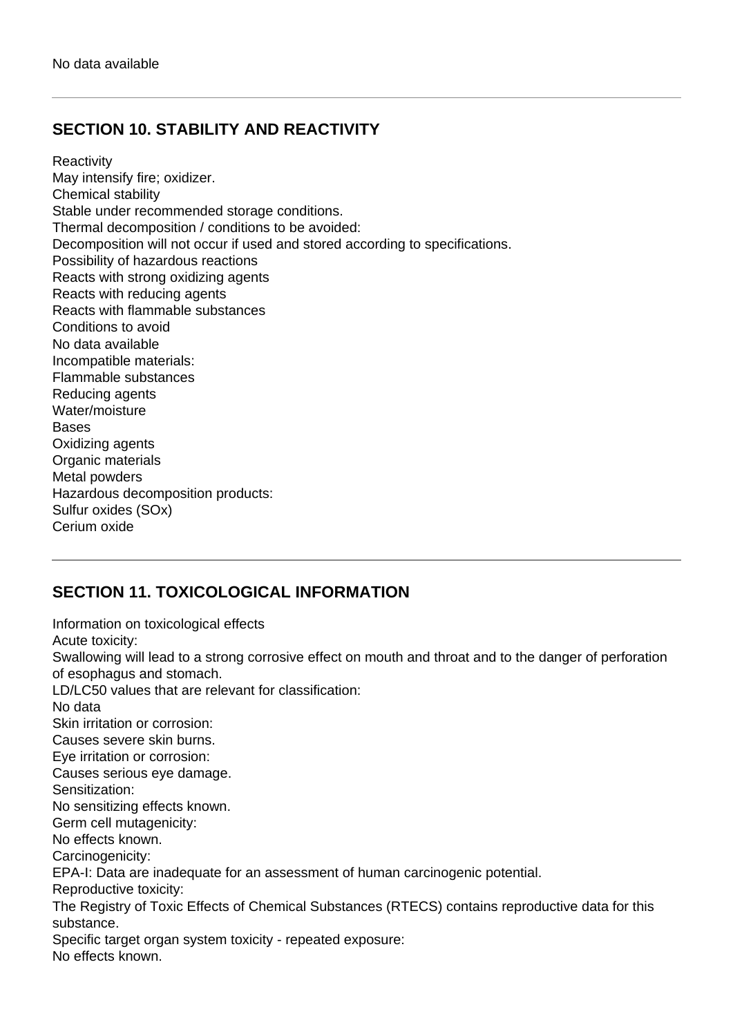# **SECTION 10. STABILITY AND REACTIVITY**

**Reactivity** May intensify fire; oxidizer. Chemical stability Stable under recommended storage conditions. Thermal decomposition / conditions to be avoided: Decomposition will not occur if used and stored according to specifications. Possibility of hazardous reactions Reacts with strong oxidizing agents Reacts with reducing agents Reacts with flammable substances Conditions to avoid No data available Incompatible materials: Flammable substances Reducing agents Water/moisture **Bases** Oxidizing agents Organic materials Metal powders Hazardous decomposition products: Sulfur oxides (SOx) Cerium oxide

# **SECTION 11. TOXICOLOGICAL INFORMATION**

Information on toxicological effects Acute toxicity: Swallowing will lead to a strong corrosive effect on mouth and throat and to the danger of perforation of esophagus and stomach. LD/LC50 values that are relevant for classification: No data Skin irritation or corrosion: Causes severe skin burns. Eye irritation or corrosion: Causes serious eye damage. Sensitization: No sensitizing effects known. Germ cell mutagenicity: No effects known. Carcinogenicity: EPA-I: Data are inadequate for an assessment of human carcinogenic potential. Reproductive toxicity: The Registry of Toxic Effects of Chemical Substances (RTECS) contains reproductive data for this substance. Specific target organ system toxicity - repeated exposure: No effects known.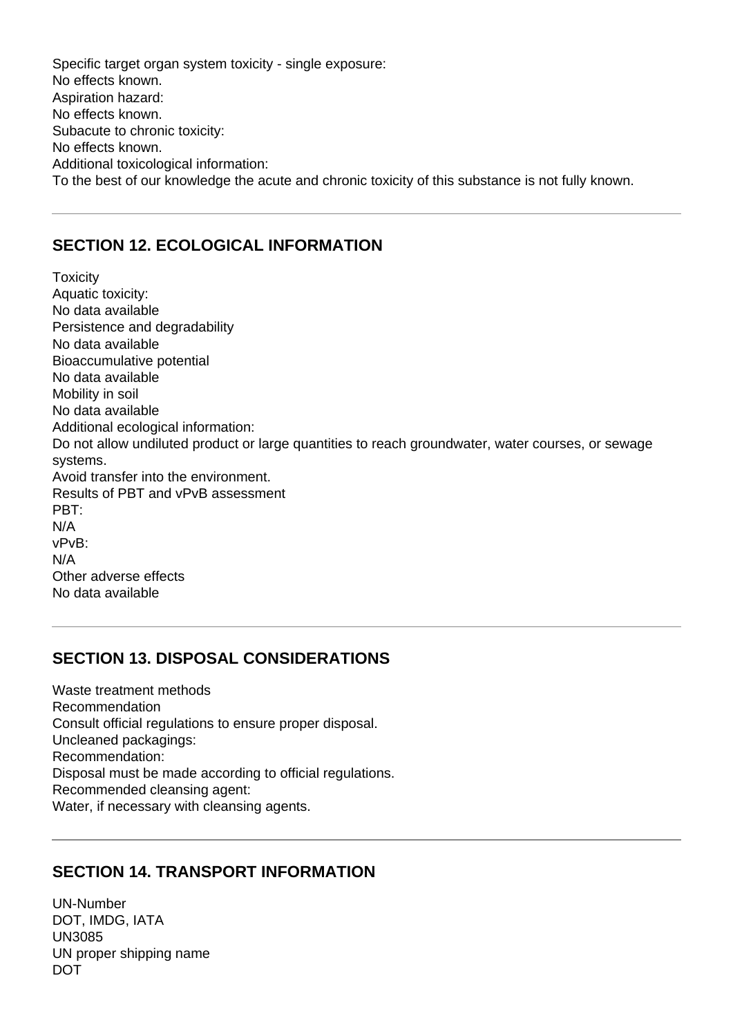Specific target organ system toxicity - single exposure: No effects known. Aspiration hazard: No effects known. Subacute to chronic toxicity: No effects known. Additional toxicological information: To the best of our knowledge the acute and chronic toxicity of this substance is not fully known.

#### **SECTION 12. ECOLOGICAL INFORMATION**

**Toxicity** Aquatic toxicity: No data available Persistence and degradability No data available Bioaccumulative potential No data available Mobility in soil No data available Additional ecological information: Do not allow undiluted product or large quantities to reach groundwater, water courses, or sewage systems. Avoid transfer into the environment. Results of PBT and vPvB assessment PBT: N/A vPvB: N/A Other adverse effects No data available

#### **SECTION 13. DISPOSAL CONSIDERATIONS**

Waste treatment methods Recommendation Consult official regulations to ensure proper disposal. Uncleaned packagings: Recommendation: Disposal must be made according to official regulations. Recommended cleansing agent: Water, if necessary with cleansing agents.

#### **SECTION 14. TRANSPORT INFORMATION**

UN-Number DOT, IMDG, IATA UN3085 UN proper shipping name DOT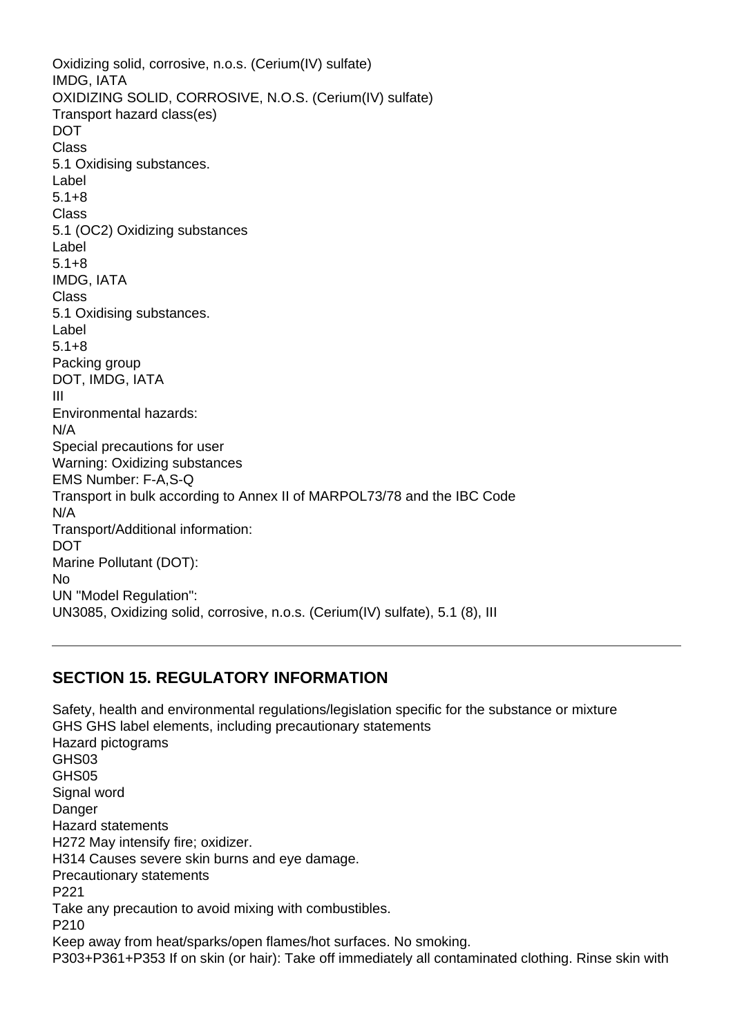Oxidizing solid, corrosive, n.o.s. (Cerium(IV) sulfate) IMDG, IATA OXIDIZING SOLID, CORROSIVE, N.O.S. (Cerium(IV) sulfate) Transport hazard class(es) **DOT** Class 5.1 Oxidising substances. Label 5.1+8 Class 5.1 (OC2) Oxidizing substances Label 5.1+8 IMDG, IATA Class 5.1 Oxidising substances. Label 5.1+8 Packing group DOT, IMDG, IATA III Environmental hazards: N/A Special precautions for user Warning: Oxidizing substances EMS Number: F-A,S-Q Transport in bulk according to Annex II of MARPOL73/78 and the IBC Code N/A Transport/Additional information: DOT Marine Pollutant (DOT): No UN "Model Regulation": UN3085, Oxidizing solid, corrosive, n.o.s. (Cerium(IV) sulfate), 5.1 (8), III

#### **SECTION 15. REGULATORY INFORMATION**

Safety, health and environmental regulations/legislation specific for the substance or mixture GHS GHS label elements, including precautionary statements Hazard pictograms GHS03 GHS05 Signal word **Danger** Hazard statements H272 May intensify fire; oxidizer. H314 Causes severe skin burns and eye damage. Precautionary statements P221 Take any precaution to avoid mixing with combustibles. P210 Keep away from heat/sparks/open flames/hot surfaces. No smoking. P303+P361+P353 If on skin (or hair): Take off immediately all contaminated clothing. Rinse skin with